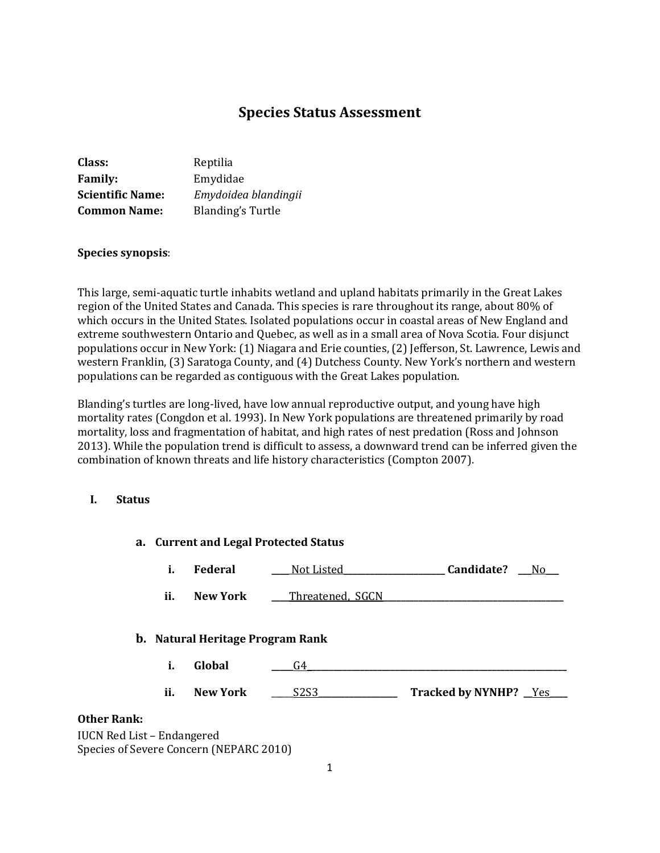# **Species Status Assessment**

| Class:                  | Reptilia                 |
|-------------------------|--------------------------|
| <b>Family:</b>          | Emydidae                 |
| <b>Scientific Name:</b> | Emydoidea blandingii     |
| <b>Common Name:</b>     | <b>Blanding's Turtle</b> |

#### **Species synopsis**:

This large, semi-aquatic turtle inhabits wetland and upland habitats primarily in the Great Lakes region of the United States and Canada. This species is rare throughout its range, about 80% of which occurs in the United States. Isolated populations occur in coastal areas of New England and extreme southwestern Ontario and Quebec, as well as in a small area of Nova Scotia. Four disjunct populations occur in New York: (1) Niagara and Erie counties, (2) Jefferson, St. Lawrence, Lewis and western Franklin, (3) Saratoga County, and (4) Dutchess County. New York's northern and western populations can be regarded as contiguous with the Great Lakes population.

Blanding's turtles are long-lived, have low annual reproductive output, and young have high mortality rates (Congdon et al. 1993). In New York populations are threatened primarily by road mortality, loss and fragmentation of habitat, and high rates of nest predation (Ross and Johnson 2013). While the population trend is difficult to assess, a downward trend can be inferred given the combination of known threats and life history characteristics (Compton 2007).

## **I. Status**

|                                   | a. Current and Legal Protected Status |                                         |                               |                        |
|-----------------------------------|---------------------------------------|-----------------------------------------|-------------------------------|------------------------|
|                                   | i.                                    | <b>Federal</b>                          | Not Listed                    | Candidate?<br>_No_     |
|                                   | ii.                                   | <b>New York</b>                         | Threatened, SGCN              |                        |
|                                   |                                       | <b>b.</b> Natural Heritage Program Rank |                               |                        |
|                                   | i.                                    | Global                                  | G4                            |                        |
|                                   | ii.                                   | <b>New York</b>                         | S <sub>2</sub> S <sub>3</sub> | Tracked by NYNHP? _Yes |
| <b>Other Rank:</b>                |                                       |                                         |                               |                        |
| <b>IUCN Red List - Endangered</b> |                                       | Species of Severe Concern (NEPARC 2010) |                               |                        |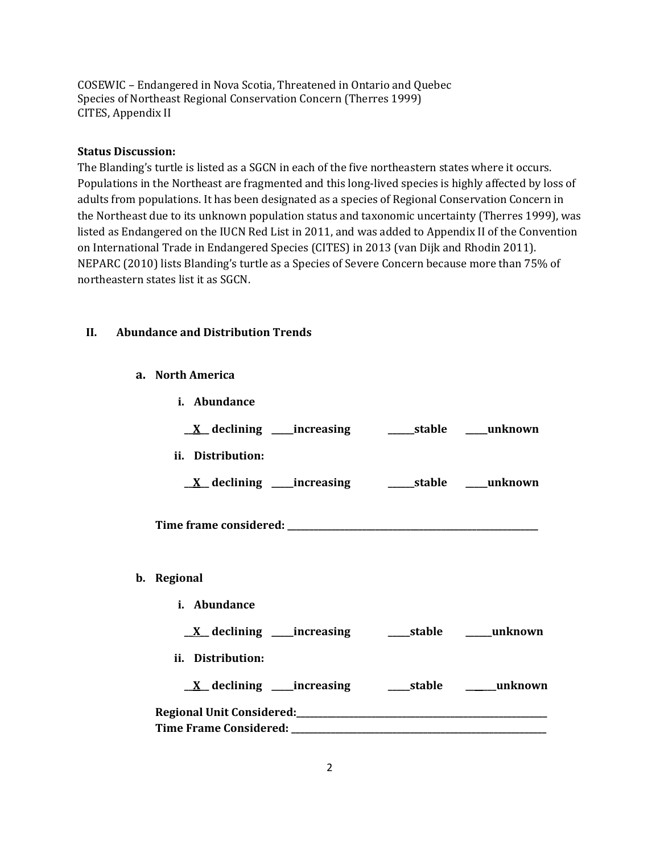COSEWIC – Endangered in Nova Scotia, Threatened in Ontario and Quebec Species of Northeast Regional Conservation Concern (Therres 1999) CITES, Appendix II

## **Status Discussion:**

The Blanding's turtle is listed as a SGCN in each of the five northeastern states where it occurs. Populations in the Northeast are fragmented and this long-lived species is highly affected by loss of adults from populations. It has been designated as a species of Regional Conservation Concern in the Northeast due to its unknown population status and taxonomic uncertainty (Therres 1999), was listed as Endangered on the IUCN Red List in 2011, and was added to Appendix II of the Convention on International Trade in Endangered Species (CITES) in 2013 (van Dijk and Rhodin 2011). NEPARC (2010) lists Blanding's turtle as a Species of Severe Concern because more than 75% of northeastern states list it as SGCN.

## **II. Abundance and Distribution Trends**

**a. North America**

| <i>i.</i> Abundance |  |
|---------------------|--|
|                     |  |
| ii. Distribution:   |  |
|                     |  |
|                     |  |
| b. Regional         |  |
| i. Abundance        |  |
|                     |  |
| ii. Distribution:   |  |
|                     |  |
|                     |  |
|                     |  |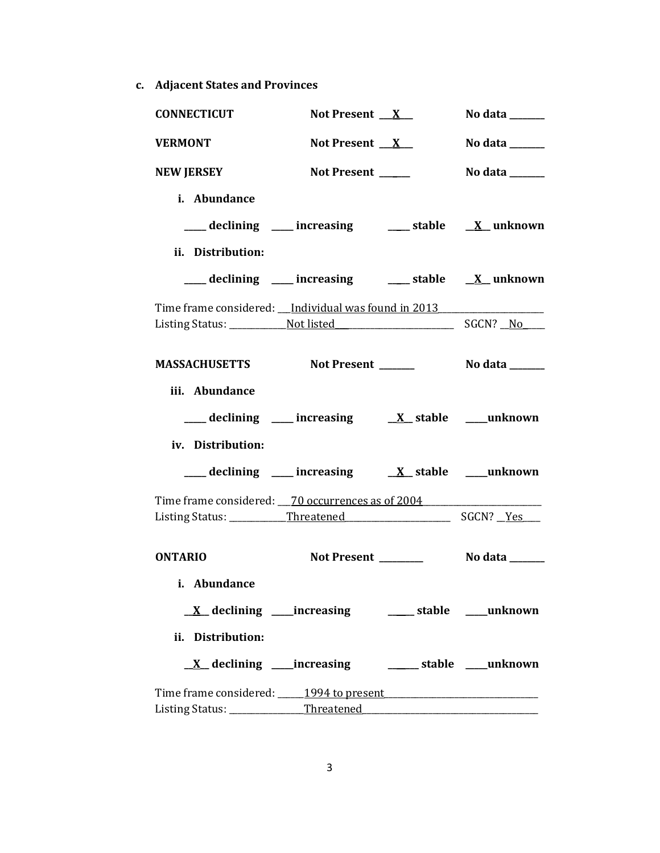**c. Adjacent States and Provinces**

| <b>CONNECTICUT</b>                                                                                 | Not Present $X$                                                                                                                         | No data $\_\_\_\_\_\_\_\_\_\_\_\_\$                                         |
|----------------------------------------------------------------------------------------------------|-----------------------------------------------------------------------------------------------------------------------------------------|-----------------------------------------------------------------------------|
| <b>VERMONT</b>                                                                                     | Not Present $X$                                                                                                                         | No data $\_\_\_\_\_\_\_\_\_\_\_\_\_\_\_\_\_\_\_\_$                          |
| <b>NEW JERSEY</b>                                                                                  | Not Present ____                                                                                                                        | No data $\frac{1}{\sqrt{1-\frac{1}{2}}\cdot\frac{1}{\sqrt{1-\frac{1}{2}}}}$ |
| i. Abundance                                                                                       |                                                                                                                                         |                                                                             |
|                                                                                                    | ____ declining ____ increasing ____ stable __ <u>X</u> _unknown                                                                         |                                                                             |
| ii. Distribution:                                                                                  |                                                                                                                                         |                                                                             |
|                                                                                                    | ___ declining ___ increasing ___ stable __ X_ unknown                                                                                   |                                                                             |
| Time frame considered: __Individual was found in 2013____________________________                  |                                                                                                                                         |                                                                             |
|                                                                                                    |                                                                                                                                         |                                                                             |
| MASSACHUSETTS Not Present ________ No data ______                                                  |                                                                                                                                         |                                                                             |
| iii. Abundance                                                                                     |                                                                                                                                         |                                                                             |
|                                                                                                    | $\frac{1}{\sqrt{1-x^2}}$ declining $\frac{1}{\sqrt{1-x^2}}$ increasing $\frac{1}{\sqrt{1-x^2}}$ stable $\frac{1}{\sqrt{1-x^2}}$ unknown |                                                                             |
| iv. Distribution:                                                                                  |                                                                                                                                         |                                                                             |
|                                                                                                    | $\frac{1}{\sqrt{1-x^2}}$ declining $\frac{1}{\sqrt{1-x^2}}$ increasing $\frac{1}{\sqrt{1-x^2}}$ stable $\frac{1}{\sqrt{1-x^2}}$ unknown |                                                                             |
| Time frame considered: 70 occurrences as of 2004                                                   |                                                                                                                                         |                                                                             |
|                                                                                                    |                                                                                                                                         |                                                                             |
| <b>ONTARIO</b>                                                                                     |                                                                                                                                         |                                                                             |
| i. Abundance                                                                                       |                                                                                                                                         |                                                                             |
|                                                                                                    | <u>X</u> declining ____increasing ________ stable ____unknown                                                                           |                                                                             |
| ii. Distribution:                                                                                  |                                                                                                                                         |                                                                             |
|                                                                                                    | <u>X</u> declining ____increasing __________ stable ____unknown                                                                         |                                                                             |
| Time frame considered: 1994 to present 1994 to proven the summary control of the frame considered: |                                                                                                                                         |                                                                             |
|                                                                                                    |                                                                                                                                         |                                                                             |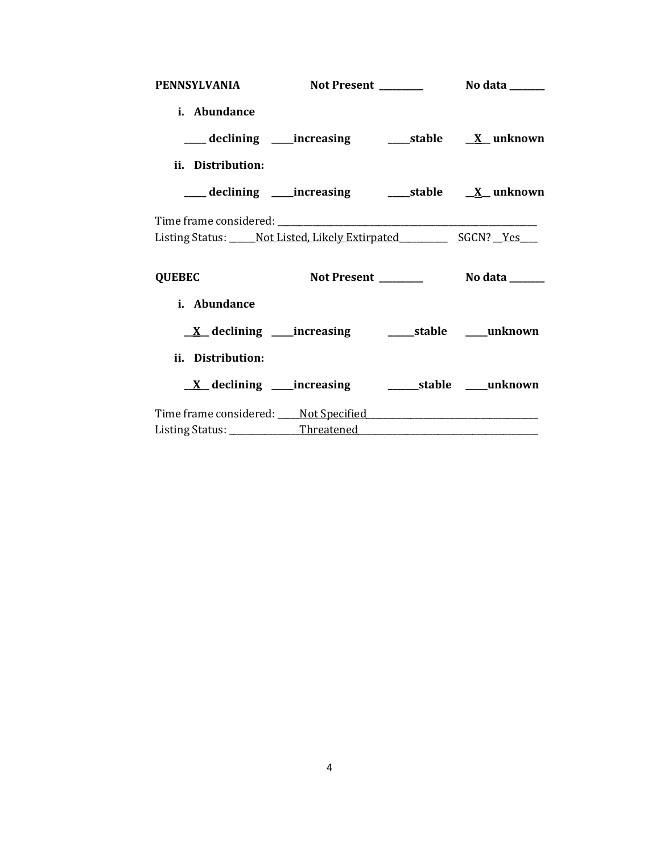| PENNSYLVANIA Not Present No data ______                         |                                                                 |  |
|-----------------------------------------------------------------|-----------------------------------------------------------------|--|
| i. Abundance                                                    |                                                                 |  |
| ___ declining ____ increasing ______ stable ___ X__ unknown     |                                                                 |  |
| ii. Distribution:                                               |                                                                 |  |
| ___ declining ____increasing _______stable __ <u>X</u> _unknown |                                                                 |  |
|                                                                 |                                                                 |  |
| Listing Status: Not Listed, Likely Extirpated SGCN? Yes         |                                                                 |  |
| <b>QUEBEC</b>                                                   |                                                                 |  |
| i. Abundance                                                    |                                                                 |  |
|                                                                 |                                                                 |  |
| ii. Distribution:                                               |                                                                 |  |
|                                                                 | <u>X</u> declining ____increasing ___________stable ____unknown |  |
| Time frame considered: Not Specified Time frame Considered:     |                                                                 |  |
|                                                                 |                                                                 |  |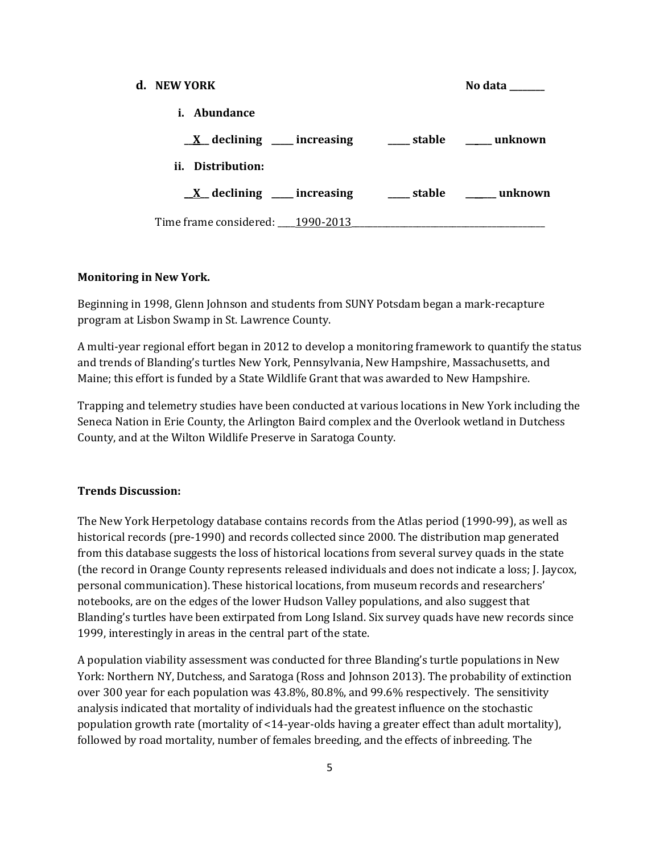# **d. NEW YORK No data \_\_\_\_\_\_\_\_ i. Abundance \_\_X\_\_ declining \_\_\_\_\_ increasing \_\_\_\_\_ stable \_\_\_\_\_\_ unknown ii. Distribution: \_\_X\_\_ declining \_\_\_\_\_ increasing \_\_\_\_\_ stable \_\_\_\_\_\_\_ unknown** Time frame considered: 1990-2013

## **Monitoring in New York.**

Beginning in 1998, Glenn Johnson and students from SUNY Potsdam began a mark-recapture program at Lisbon Swamp in St. Lawrence County.

A multi-year regional effort began in 2012 to develop a monitoring framework to quantify the status and trends of Blanding's turtles New York, Pennsylvania, New Hampshire, Massachusetts, and Maine; this effort is funded by a State Wildlife Grant that was awarded to New Hampshire.

Trapping and telemetry studies have been conducted at various locations in New York including the Seneca Nation in Erie County, the Arlington Baird complex and the Overlook wetland in Dutchess County, and at the Wilton Wildlife Preserve in Saratoga County.

#### **Trends Discussion:**

The New York Herpetology database contains records from the Atlas period (1990-99), as well as historical records (pre-1990) and records collected since 2000. The distribution map generated from this database suggests the loss of historical locations from several survey quads in the state (the record in Orange County represents released individuals and does not indicate a loss; J. Jaycox, personal communication). These historical locations, from museum records and researchers' notebooks, are on the edges of the lower Hudson Valley populations, and also suggest that Blanding's turtles have been extirpated from Long Island. Six survey quads have new records since 1999, interestingly in areas in the central part of the state.

A population viability assessment was conducted for three Blanding's turtle populations in New York: Northern NY, Dutchess, and Saratoga (Ross and Johnson 2013). The probability of extinction over 300 year for each population was 43.8%, 80.8%, and 99.6% respectively. The sensitivity analysis indicated that mortality of individuals had the greatest influence on the stochastic population growth rate (mortality of <14-year-olds having a greater effect than adult mortality), followed by road mortality, number of females breeding, and the effects of inbreeding. The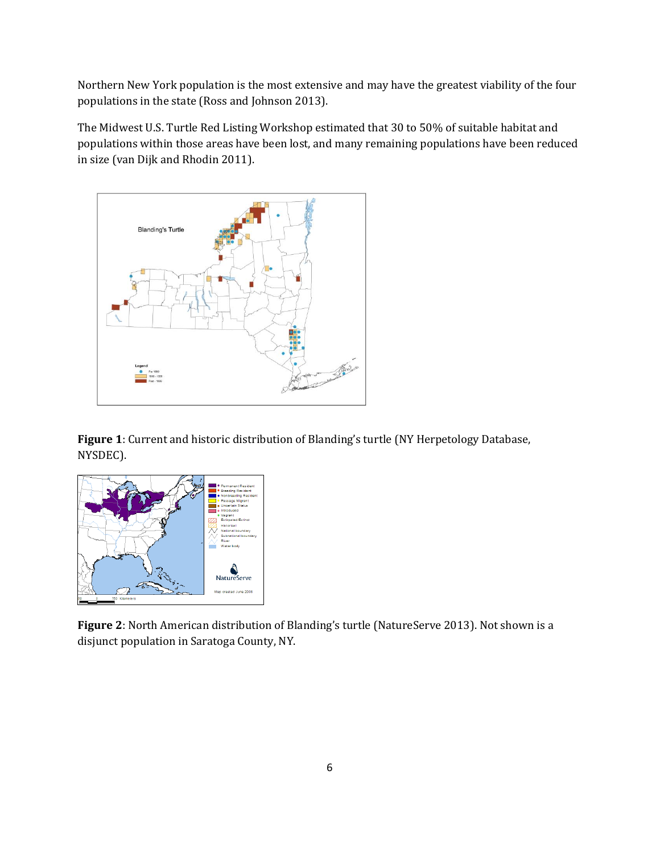Northern New York population is the most extensive and may have the greatest viability of the four populations in the state (Ross and Johnson 2013).

The Midwest U.S. Turtle Red Listing Workshop estimated that 30 to 50% of suitable habitat and populations within those areas have been lost, and many remaining populations have been reduced in size (van Dijk and Rhodin 2011).



**Figure 1**: Current and historic distribution of Blanding's turtle (NY Herpetology Database, NYSDEC).



**Figure 2**: North American distribution of Blanding's turtle (NatureServe 2013). Not shown is a disjunct population in Saratoga County, NY.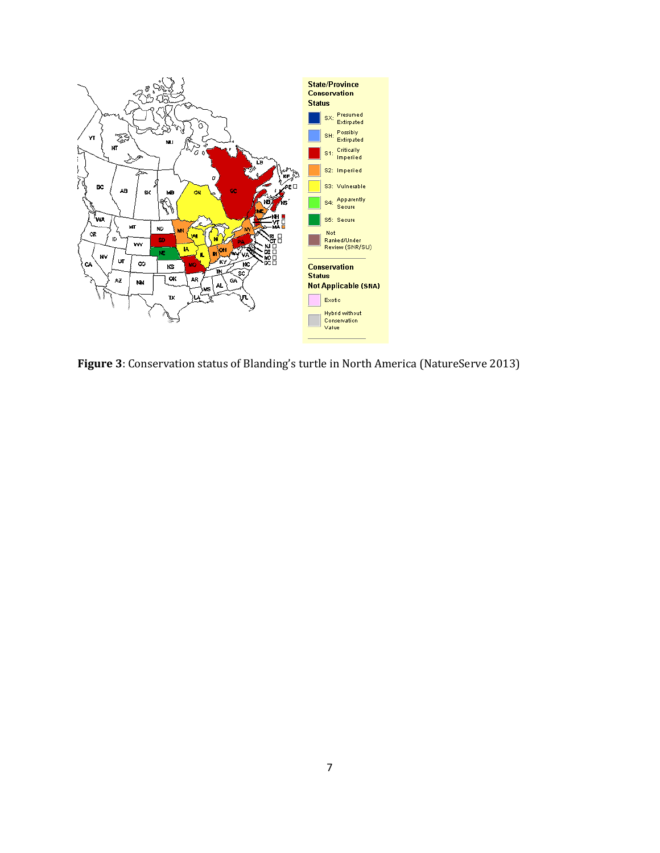

**Figure 3**: Conservation status of Blanding's turtle in North America (NatureServe 2013)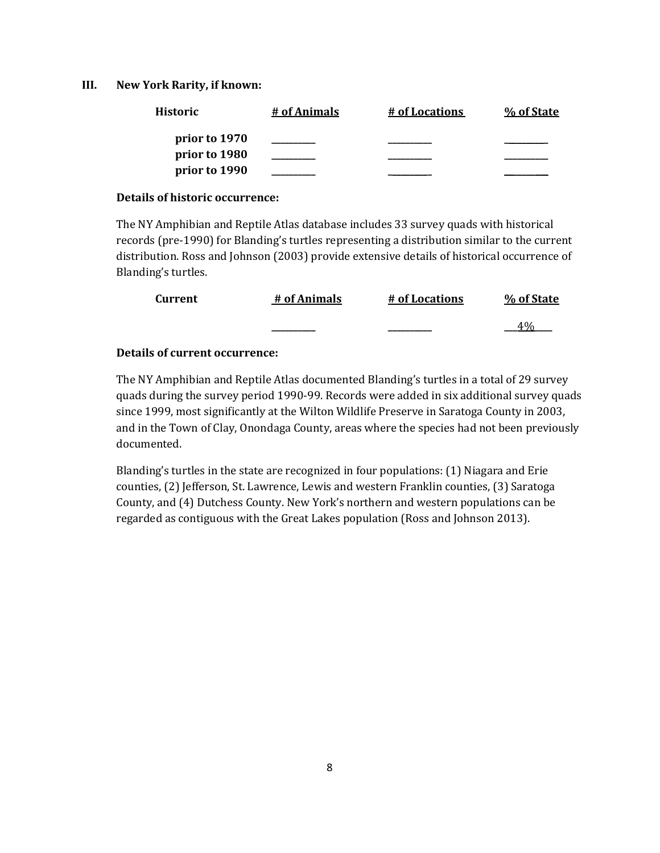#### **III. New York Rarity, if known:**

| <b>Historic</b> | # of Animals | # of Locations | % of State |
|-----------------|--------------|----------------|------------|
| prior to 1970   |              |                |            |
| prior to 1980   |              |                |            |
| prior to 1990   |              |                |            |

#### **Details of historic occurrence:**

The NY Amphibian and Reptile Atlas database includes 33 survey quads with historical records (pre-1990) for Blanding's turtles representing a distribution similar to the current distribution. Ross and Johnson (2003) provide extensive details of historical occurrence of Blanding's turtles.

| Current | # of Animals | # of Locations | % of State |
|---------|--------------|----------------|------------|
|         |              |                | 4.07       |

## **Details of current occurrence:**

The NY Amphibian and Reptile Atlas documented Blanding's turtles in a total of 29 survey quads during the survey period 1990-99. Records were added in six additional survey quads since 1999, most significantly at the Wilton Wildlife Preserve in Saratoga County in 2003, and in the Town of Clay, Onondaga County, areas where the species had not been previously documented.

Blanding's turtles in the state are recognized in four populations: (1) Niagara and Erie counties, (2) Jefferson, St. Lawrence, Lewis and western Franklin counties, (3) Saratoga County, and (4) Dutchess County. New York's northern and western populations can be regarded as contiguous with the Great Lakes population (Ross and Johnson 2013).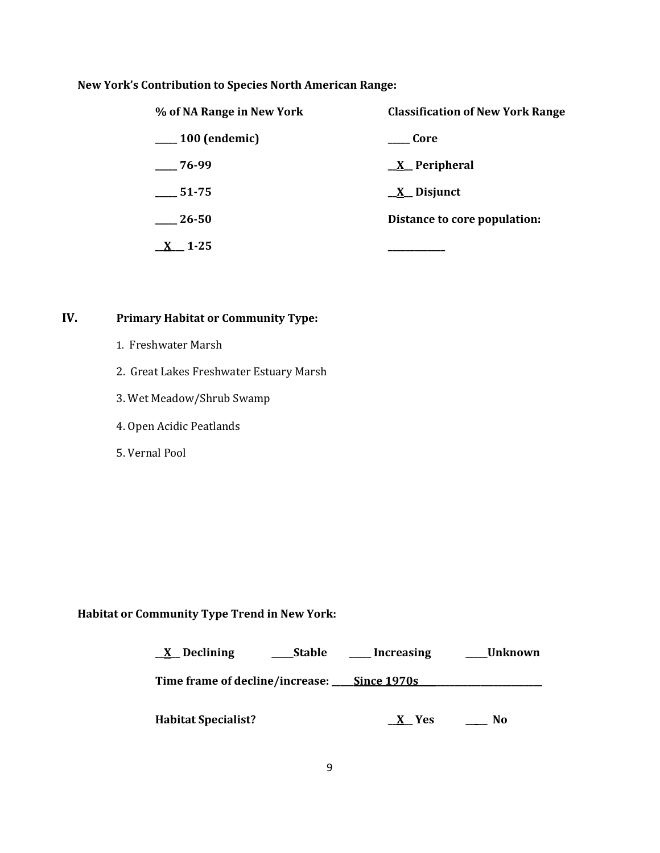# **New York's Contribution to Species North American Range:**

| % of NA Range in New York | <b>Classification of New York Range</b> |  |
|---------------------------|-----------------------------------------|--|
| $\_\_100$ (endemic)       | Core                                    |  |
| $-76-99$                  | $\underline{X}$ Peripheral              |  |
| 51-75                     | $\underline{X}$ Disjunct                |  |
| 26-50                     | Distance to core population:            |  |
| $1 - 25$                  |                                         |  |

# **IV. Primary Habitat or Community Type:**

- 1. Freshwater Marsh
- 2. Great Lakes Freshwater Estuary Marsh
- 3. Wet Meadow/Shrub Swamp
- 4. Open Acidic Peatlands
- 5. Vernal Pool

# **Habitat or Community Type Trend in New York:**

| $\underline{X}$ Declining                   | Stable | Increasing | Unknown |
|---------------------------------------------|--------|------------|---------|
| Time frame of decline/increase: Since 1970s |        |            |         |
| <b>Habitat Specialist?</b>                  |        | Yes        | No      |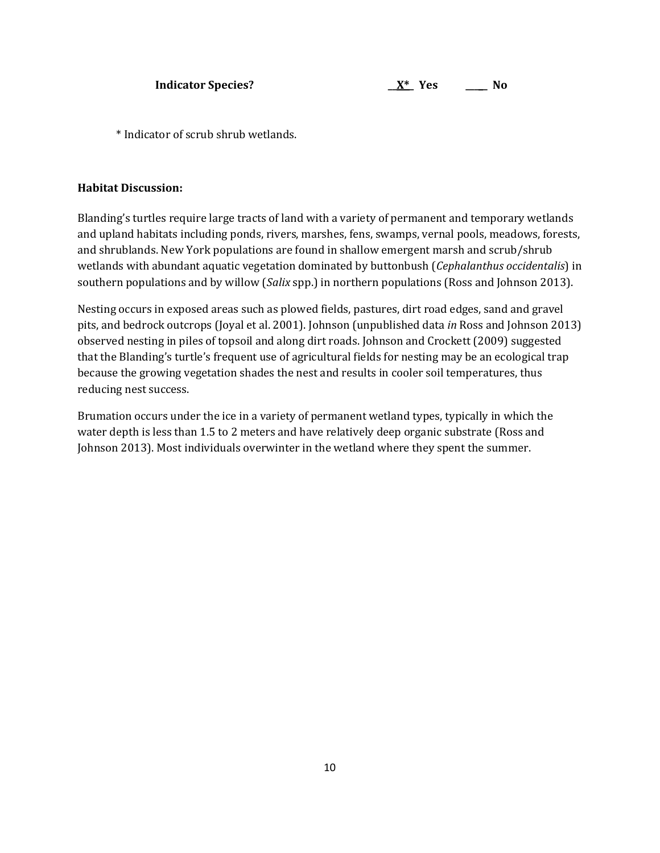\* Indicator of scrub shrub wetlands.

## **Habitat Discussion:**

Blanding's turtles require large tracts of land with a variety of permanent and temporary wetlands and upland habitats including ponds, rivers, marshes, fens, swamps, vernal pools, meadows, forests, and shrublands. New York populations are found in shallow emergent marsh and scrub/shrub wetlands with abundant aquatic vegetation dominated by buttonbush (*Cephalanthus occidentalis*) in southern populations and by willow (*Salix* spp.) in northern populations (Ross and Johnson 2013).

Nesting occurs in exposed areas such as plowed fields, pastures, dirt road edges, sand and gravel pits, and bedrock outcrops (Joyal et al. 2001). Johnson (unpublished data *in* Ross and Johnson 2013) observed nesting in piles of topsoil and along dirt roads. Johnson and Crockett (2009) suggested that the Blanding's turtle's frequent use of agricultural fields for nesting may be an ecological trap because the growing vegetation shades the nest and results in cooler soil temperatures, thus reducing nest success.

Brumation occurs under the ice in a variety of permanent wetland types, typically in which the water depth is less than 1.5 to 2 meters and have relatively deep organic substrate (Ross and Johnson 2013). Most individuals overwinter in the wetland where they spent the summer.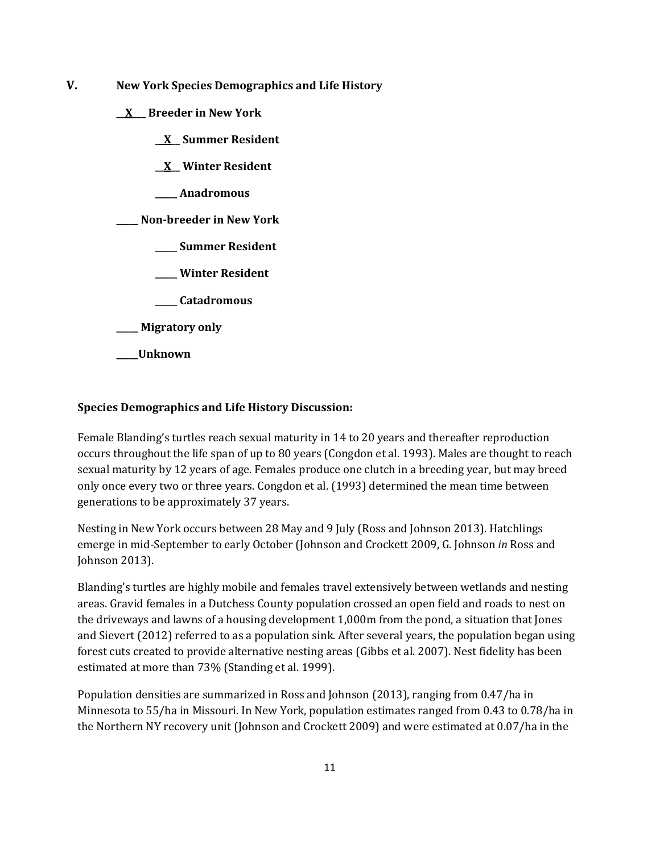- **V. New York Species Demographics and Life History**
	- **\_\_X\_\_\_ Breeder in New York**
		- **\_\_X\_\_ Summer Resident**
		- **\_\_X\_\_ Winter Resident**
		- **\_\_\_\_\_ Anadromous**

**\_\_\_\_\_ Non-breeder in New York**

- **\_\_\_\_\_ Summer Resident**
- **\_\_\_\_\_ Winter Resident**
- **\_\_\_\_\_ Catadromous**
- **\_\_\_\_\_ Migratory only**
- **\_\_\_\_\_Unknown**

## **Species Demographics and Life History Discussion:**

Female Blanding's turtles reach sexual maturity in 14 to 20 years and thereafter reproduction occurs throughout the life span of up to 80 years (Congdon et al. 1993). Males are thought to reach sexual maturity by 12 years of age. Females produce one clutch in a breeding year, but may breed only once every two or three years. Congdon et al. (1993) determined the mean time between generations to be approximately 37 years.

Nesting in New York occurs between 28 May and 9 July (Ross and Johnson 2013). Hatchlings emerge in mid-September to early October (Johnson and Crockett 2009, G. Johnson *in* Ross and Johnson 2013).

Blanding's turtles are highly mobile and females travel extensively between wetlands and nesting areas. Gravid females in a Dutchess County population crossed an open field and roads to nest on the driveways and lawns of a housing development 1,000m from the pond, a situation that Jones and Sievert (2012) referred to as a population sink. After several years, the population began using forest cuts created to provide alternative nesting areas (Gibbs et al. 2007). Nest fidelity has been estimated at more than 73% (Standing et al. 1999).

Population densities are summarized in Ross and Johnson (2013), ranging from 0.47/ha in Minnesota to 55/ha in Missouri. In New York, population estimates ranged from 0.43 to 0.78/ha in the Northern NY recovery unit (Johnson and Crockett 2009) and were estimated at 0.07/ha in the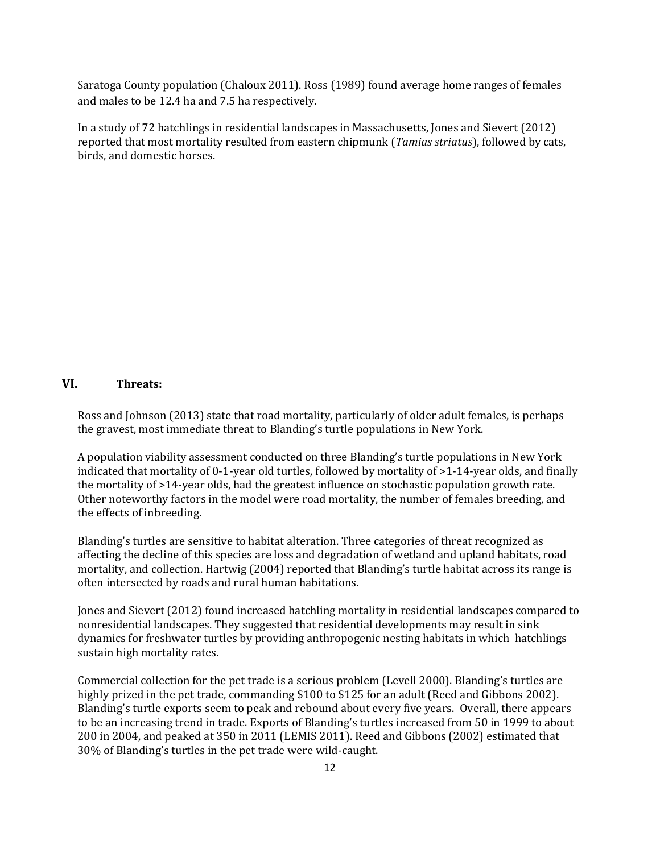Saratoga County population (Chaloux 2011). Ross (1989) found average home ranges of females and males to be 12.4 ha and 7.5 ha respectively.

In a study of 72 hatchlings in residential landscapes in Massachusetts, Jones and Sievert (2012) reported that most mortality resulted from eastern chipmunk (*Tamias striatus*), followed by cats, birds, and domestic horses.

#### **VI. Threats:**

Ross and Johnson (2013) state that road mortality, particularly of older adult females, is perhaps the gravest, most immediate threat to Blanding's turtle populations in New York.

A population viability assessment conducted on three Blanding's turtle populations in New York indicated that mortality of 0-1-year old turtles, followed by mortality of >1-14-year olds, and finally the mortality of >14-year olds, had the greatest influence on stochastic population growth rate. Other noteworthy factors in the model were road mortality, the number of females breeding, and the effects of inbreeding.

Blanding's turtles are sensitive to habitat alteration. Three categories of threat recognized as affecting the decline of this species are loss and degradation of wetland and upland habitats, road mortality, and collection. Hartwig (2004) reported that Blanding's turtle habitat across its range is often intersected by roads and rural human habitations.

Jones and Sievert (2012) found increased hatchling mortality in residential landscapes compared to nonresidential landscapes. They suggested that residential developments may result in sink dynamics for freshwater turtles by providing anthropogenic nesting habitats in which hatchlings sustain high mortality rates.

Commercial collection for the pet trade is a serious problem (Levell 2000). Blanding's turtles are highly prized in the pet trade, commanding \$100 to \$125 for an adult (Reed and Gibbons 2002). Blanding's turtle exports seem to peak and rebound about every five years. Overall, there appears to be an increasing trend in trade. Exports of Blanding's turtles increased from 50 in 1999 to about 200 in 2004, and peaked at 350 in 2011 (LEMIS 2011). Reed and Gibbons (2002) estimated that 30% of Blanding's turtles in the pet trade were wild-caught.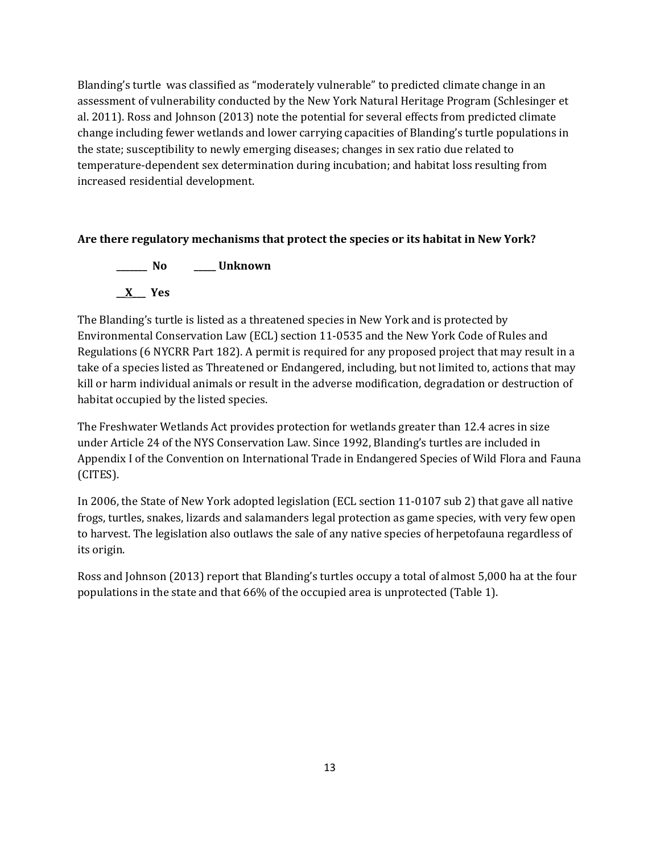Blanding's turtle was classified as "moderately vulnerable" to predicted climate change in an assessment of vulnerability conducted by the New York Natural Heritage Program (Schlesinger et al. 2011). Ross and Johnson (2013) note the potential for several effects from predicted climate change including fewer wetlands and lower carrying capacities of Blanding's turtle populations in the state; susceptibility to newly emerging diseases; changes in sex ratio due related to temperature-dependent sex determination during incubation; and habitat loss resulting from increased residential development.

# **Are there regulatory mechanisms that protect the species or its habitat in New York?**

**\_\_\_\_\_\_\_ No \_\_\_\_\_ Unknown \_\_X\_\_\_ Yes** 

The Blanding's turtle is listed as a threatened species in New York and is protected by Environmental Conservation Law (ECL) section 11-0535 and the New York Code of Rules and Regulations (6 NYCRR Part 182). A permit is required for any proposed project that may result in a take of a species listed as Threatened or Endangered, including, but not limited to, actions that may kill or harm individual animals or result in the adverse modification, degradation or destruction of habitat occupied by the listed species.

The Freshwater Wetlands Act provides protection for wetlands greater than 12.4 acres in size under Article 24 of the NYS Conservation Law. Since 1992, Blanding's turtles are included in Appendix I of the Convention on International Trade in Endangered Species of Wild Flora and Fauna (CITES).

In 2006, the State of New York adopted legislation (ECL section 11-0107 sub 2) that gave all native frogs, turtles, snakes, lizards and salamanders legal protection as game species, with very few open to harvest. The legislation also outlaws the sale of any native species of herpetofauna regardless of its origin.

Ross and Johnson (2013) report that Blanding's turtles occupy a total of almost 5,000 ha at the four populations in the state and that 66% of the occupied area is unprotected (Table 1).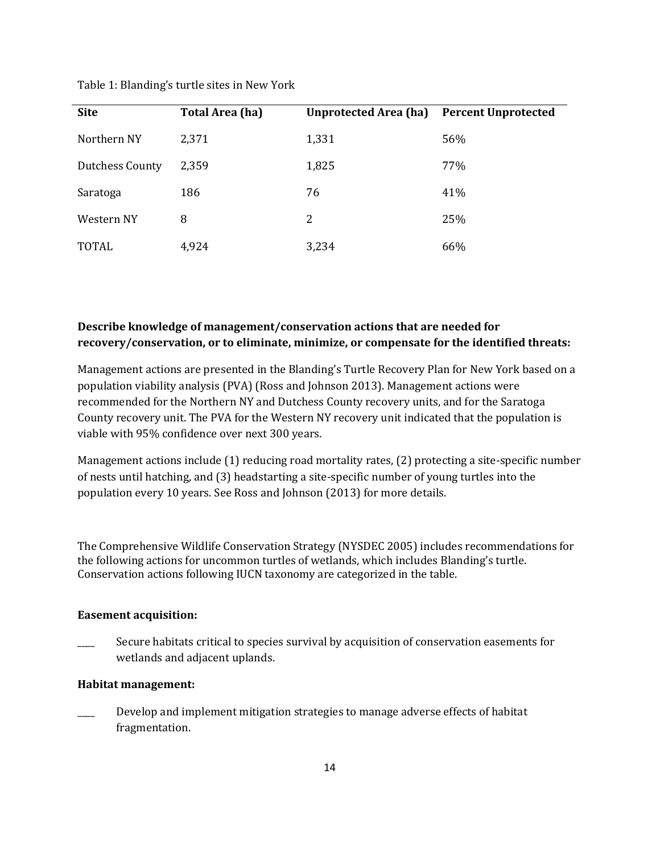| <b>Site</b>            | <b>Total Area (ha)</b> | <b>Unprotected Area (ha)</b> | <b>Percent Unprotected</b> |
|------------------------|------------------------|------------------------------|----------------------------|
| Northern NY            | 2,371                  | 1,331                        | 56%                        |
| <b>Dutchess County</b> | 2,359                  | 1,825                        | 77%                        |
| Saratoga               | 186                    | 76                           | 41%                        |
| Western NY             | 8                      | 2                            | 25%                        |
| <b>TOTAL</b>           | 4,924                  | 3,234                        | 66%                        |

Table 1: Blanding's turtle sites in New York

# **Describe knowledge of management/conservation actions that are needed for recovery/conservation, or to eliminate, minimize, or compensate for the identified threats:**

Management actions are presented in the Blanding's Turtle Recovery Plan for New York based on a population viability analysis (PVA) (Ross and Johnson 2013). Management actions were recommended for the Northern NY and Dutchess County recovery units, and for the Saratoga County recovery unit. The PVA for the Western NY recovery unit indicated that the population is viable with 95% confidence over next 300 years.

Management actions include (1) reducing road mortality rates, (2) protecting a site-specific number of nests until hatching, and (3) headstarting a site-specific number of young turtles into the population every 10 years. See Ross and Johnson (2013) for more details.

The Comprehensive Wildlife Conservation Strategy (NYSDEC 2005) includes recommendations for the following actions for uncommon turtles of wetlands, which includes Blanding's turtle. Conservation actions following IUCN taxonomy are categorized in the table.

## **Easement acquisition:**

Secure habitats critical to species survival by acquisition of conservation easements for wetlands and adjacent uplands.

#### **Habitat management:**

\_\_\_\_ Develop and implement mitigation strategies to manage adverse effects of habitat fragmentation.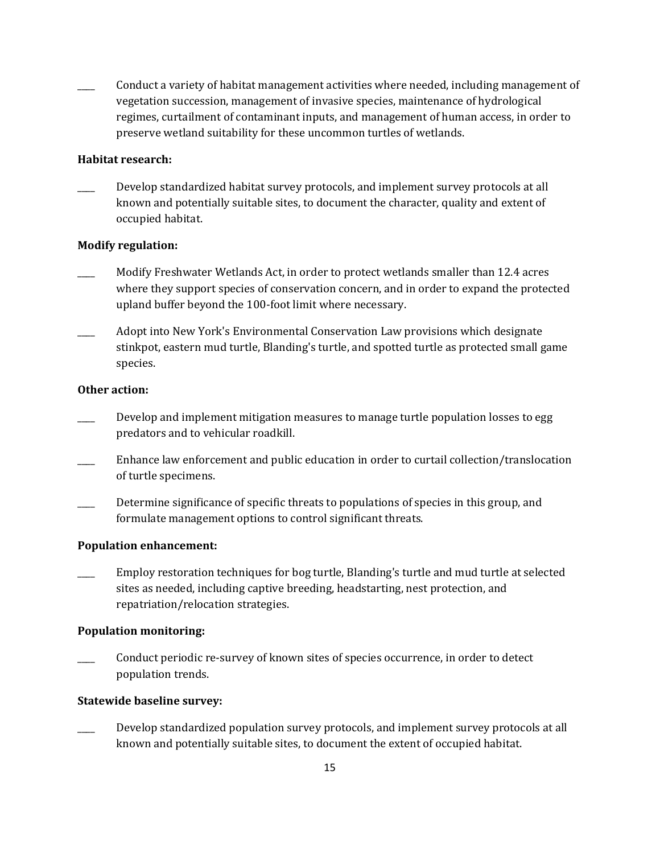\_\_\_\_ Conduct a variety of habitat management activities where needed, including management of vegetation succession, management of invasive species, maintenance of hydrological regimes, curtailment of contaminant inputs, and management of human access, in order to preserve wetland suitability for these uncommon turtles of wetlands.

## **Habitat research:**

Develop standardized habitat survey protocols, and implement survey protocols at all known and potentially suitable sites, to document the character, quality and extent of occupied habitat.

## **Modify regulation:**

- Modify Freshwater Wetlands Act, in order to protect wetlands smaller than 12.4 acres where they support species of conservation concern, and in order to expand the protected upland buffer beyond the 100-foot limit where necessary.
- Adopt into New York's Environmental Conservation Law provisions which designate stinkpot, eastern mud turtle, Blanding's turtle, and spotted turtle as protected small game species.

## **Other action:**

- Develop and implement mitigation measures to manage turtle population losses to egg predators and to vehicular roadkill.
- \_\_\_\_ Enhance law enforcement and public education in order to curtail collection/translocation of turtle specimens.
- Determine significance of specific threats to populations of species in this group, and formulate management options to control significant threats.

#### **Population enhancement:**

\_\_\_\_ Employ restoration techniques for bog turtle, Blanding's turtle and mud turtle at selected sites as needed, including captive breeding, headstarting, nest protection, and repatriation/relocation strategies.

## **Population monitoring:**

Conduct periodic re-survey of known sites of species occurrence, in order to detect population trends.

#### **Statewide baseline survey:**

Develop standardized population survey protocols, and implement survey protocols at all known and potentially suitable sites, to document the extent of occupied habitat.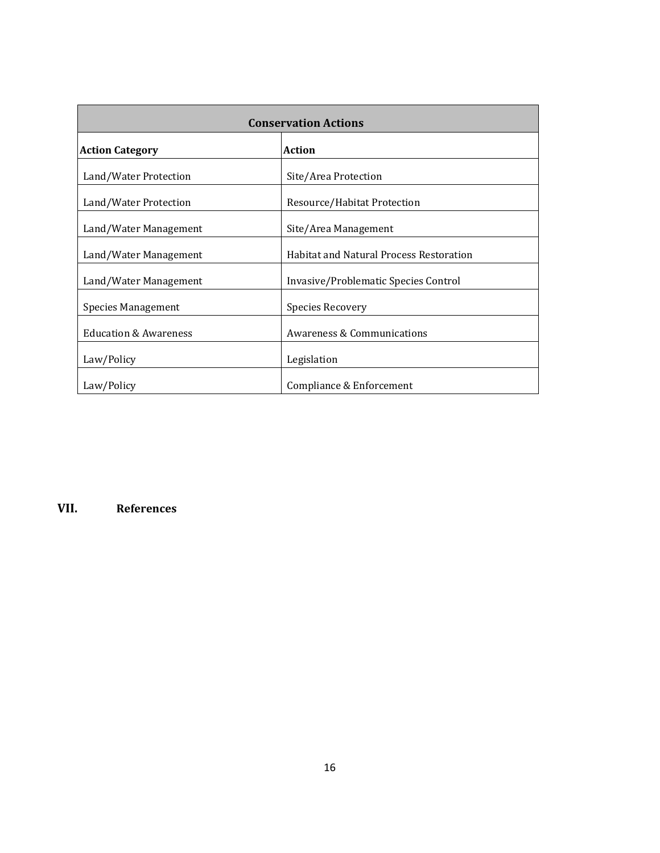| <b>Conservation Actions</b>      |                                                |  |
|----------------------------------|------------------------------------------------|--|
| <b>Action Category</b>           | <b>Action</b>                                  |  |
| Land/Water Protection            | Site/Area Protection                           |  |
| Land/Water Protection            | Resource/Habitat Protection                    |  |
| Land/Water Management            | Site/Area Management                           |  |
| Land/Water Management            | <b>Habitat and Natural Process Restoration</b> |  |
| Land/Water Management            | Invasive/Problematic Species Control           |  |
| <b>Species Management</b>        | <b>Species Recovery</b>                        |  |
| <b>Education &amp; Awareness</b> | <b>Awareness &amp; Communications</b>          |  |
| Law/Policy                       | Legislation                                    |  |
| Law/Policy                       | Compliance & Enforcement                       |  |

**VII. References**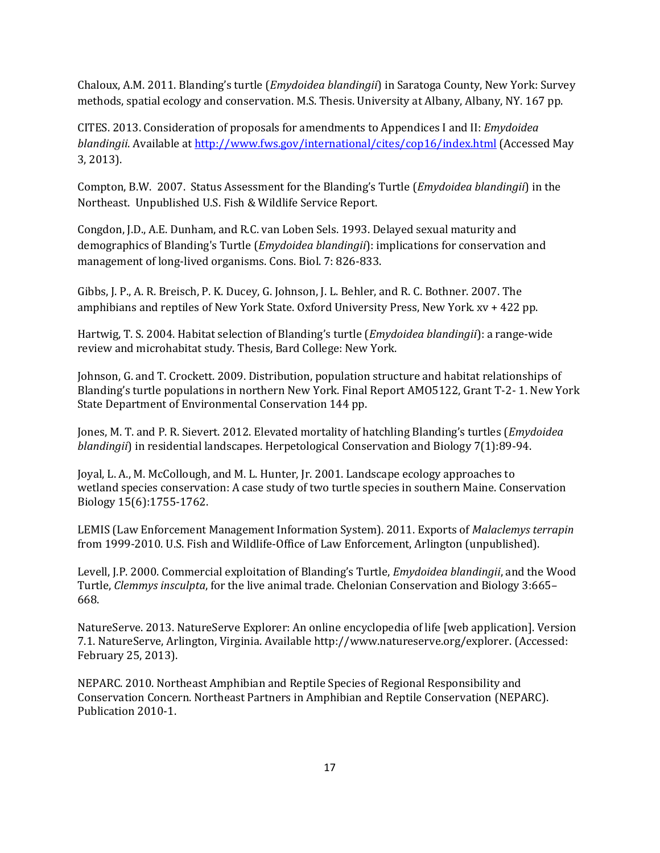Chaloux, A.M. 2011. Blanding's turtle (*Emydoidea blandingii*) in Saratoga County, New York: Survey methods, spatial ecology and conservation. M.S. Thesis. University at Albany, Albany, NY. 167 pp.

CITES. 2013. Consideration of proposals for amendments to Appendices I and II: *Emydoidea blandingii*. Available a[t http://www.fws.gov/international/cites/cop16/index.html](http://www.fws.gov/international/cites/cop16/index.html) (Accessed May 3, 2013).

Compton, B.W. 2007. Status Assessment for the Blanding's Turtle (*Emydoidea blandingii*) in the Northeast. Unpublished U.S. Fish & Wildlife Service Report.

Congdon, J.D., A.E. Dunham, and R.C. van Loben Sels. 1993. Delayed sexual maturity and demographics of Blanding's Turtle (*Emydoidea blandingii*): implications for conservation and management of long-lived organisms. Cons. Biol. 7: 826-833.

Gibbs, J. P., A. R. Breisch, P. K. Ducey, G. Johnson, J. L. Behler, and R. C. Bothner. 2007. The amphibians and reptiles of New York State. Oxford University Press, New York. xv + 422 pp.

Hartwig, T. S. 2004. Habitat selection of Blanding's turtle (*Emydoidea blandingii*): a range-wide review and microhabitat study. Thesis, Bard College: New York.

Johnson, G. and T. Crockett. 2009. Distribution, population structure and habitat relationships of Blanding's turtle populations in northern New York. Final Report AMO5122, Grant T-2- 1. New York State Department of Environmental Conservation 144 pp.

Jones, M. T. and P. R. Sievert. 2012. Elevated mortality of hatchling Blanding's turtles (*Emydoidea blandingii*) in residential landscapes. Herpetological Conservation and Biology 7(1):89-94.

Joyal, L. A., M. McCollough, and M. L. Hunter, Jr. 2001. Landscape ecology approaches to wetland species conservation: A case study of two turtle species in southern Maine. Conservation Biology 15(6):1755-1762.

LEMIS (Law Enforcement Management Information System). 2011. Exports of *Malaclemys terrapin*  from 1999-2010. U.S. Fish and Wildlife-Office of Law Enforcement, Arlington (unpublished).

Levell, J.P. 2000. Commercial exploitation of Blanding's Turtle, *Emydoidea blandingii*, and the Wood Turtle, *Clemmys insculpta*, for the live animal trade. Chelonian Conservation and Biology 3:665– 668.

NatureServe. 2013. NatureServe Explorer: An online encyclopedia of life [web application]. Version 7.1. NatureServe, Arlington, Virginia. Available http://www.natureserve.org/explorer. (Accessed: February 25, 2013).

NEPARC. 2010. Northeast Amphibian and Reptile Species of Regional Responsibility and Conservation Concern. Northeast Partners in Amphibian and Reptile Conservation (NEPARC). Publication 2010-1.